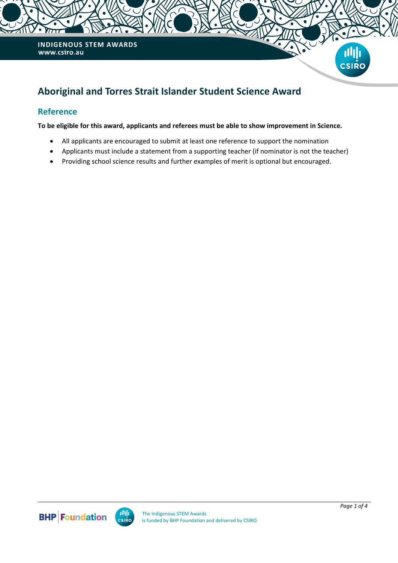

# **Aboriginal and Torres Strait Islander Student Science Award**

## **Reference**

**To be eligible for this award, applicants and referees must be able to show improvement in Science.** 

- All applicants are encouraged to submit at least one reference to support the nomination
- Applicants must include a statement from a supporting teacher (if nominator is not the teacher)
- Providing school science results and further examples of merit is optional but encouraged.



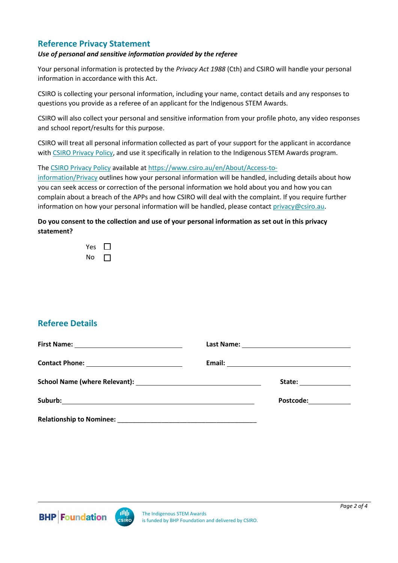## **Reference Privacy Statement**

#### *Use of personal and sensitive information provided by the referee*

Your personal information is protected by the *Privacy Act 1988* (Cth) and CSIRO will handle your personal information in accordance with this Act.

CSIRO is collecting your personal information, including your name, contact details and any responses to questions you provide as a referee of an applicant for the Indigenous STEM Awards.

CSIRO will also collect your personal and sensitive information from your profile photo, any video responses and school report/results for this purpose.

CSIRO will treat all personal information collected as part of your support for the applicant in accordance with [CSIRO Privacy Policy,](https://www.csiro.au/en/About/Access-to-information/Privacy) and use it specifically in relation to the Indigenous STEM Awards program.

The [CSIRO Privacy Policy](https://www.csiro.au/en/About/Access-to-information/Privacy) available at [https://www.csiro.au/en/About/Access-to-](https://www.csiro.au/en/About/Access-to-information/Privacy)

[information/Privacy](https://www.csiro.au/en/About/Access-to-information/Privacy) outlines how your personal information will be handled, including details about how you can seek access or correction of the personal information we hold about you and how you can complain about a breach of the APPs and how CSIRO will deal with the complaint. If you require further information on how your personal information will be handled, please contact [privacy@csiro.au.](mailto:privacy@csiro.au)

### **Do you consent to the collection and use of your personal information as set out in this privacy statement?**

| Y<br>es |  |
|---------|--|
| N٥      |  |

# **Referee Details**

|  | Email: No. 2006. Email: No. 2006. All and Support of the United States and Support of the United States and Support of the United States and Support of the United States and Support of the United States and Support of the |
|--|-------------------------------------------------------------------------------------------------------------------------------------------------------------------------------------------------------------------------------|
|  | State: ________________                                                                                                                                                                                                       |
|  | Postcode: <u>_________</u>                                                                                                                                                                                                    |
|  |                                                                                                                                                                                                                               |



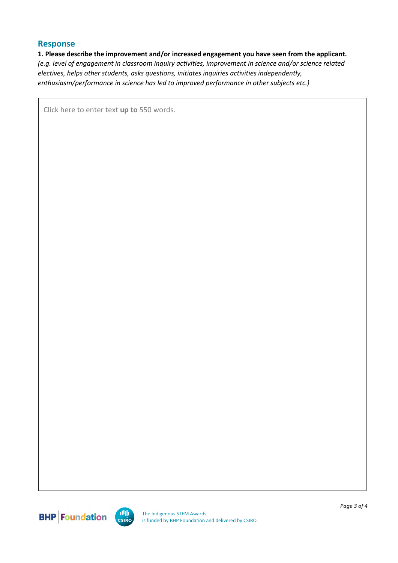### **Response**

#### **1. Please describe the improvement and/or increased engagement you have seen from the applicant.**

*(e.g. level of engagement in classroom inquiry activities, improvement in science and/or science related electives, helps other students, asks questions, initiates inquiries activities independently, enthusiasm/performance in science has led to improved performance in other subjects etc.)*

Click here to enter text **up to** 550 words.